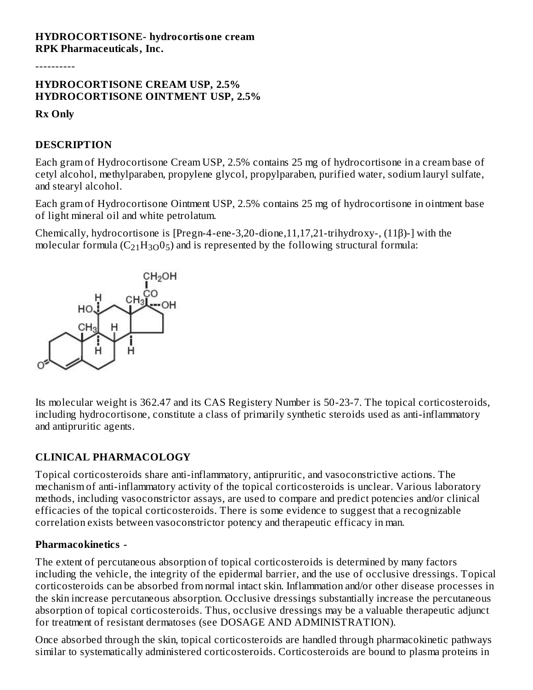----------

### **HYDROCORTISONE CREAM USP, 2.5% HYDROCORTISONE OINTMENT USP, 2.5%**

**Rx Only**

## **DESCRIPTION**

Each gram of Hydrocortisone Cream USP, 2.5% contains 25 mg of hydrocortisone in a cream base of cetyl alcohol, methylparaben, propylene glycol, propylparaben, purified water, sodium lauryl sulfate, and stearyl alcohol.

Each gram of Hydrocortisone Ointment USP, 2.5% contains 25 mg of hydrocortisone in ointment base of light mineral oil and white petrolatum.

Chemically, hydrocortisone is [Pregn-4-ene-3,20-dione,11,17,21-trihydroxy-, (11β)-] with the molecular formula (C<sub>21</sub>H<sub>3O</sub>0<sub>5</sub>) and is represented by the following structural formula:



Its molecular weight is 362.47 and its CAS Registery Number is 50-23-7. The topical corticosteroids, including hydrocortisone, constitute a class of primarily synthetic steroids used as anti-inflammatory and antipruritic agents.

## **CLINICAL PHARMACOLOGY**

Topical corticosteroids share anti-inflammatory, antipruritic, and vasoconstrictive actions. The mechanism of anti-inflammatory activity of the topical corticosteroids is unclear. Various laboratory methods, including vasoconstrictor assays, are used to compare and predict potencies and/or clinical efficacies of the topical corticosteroids. There is some evidence to suggest that a recognizable correlation exists between vasoconstrictor potency and therapeutic efficacy in man.

## **Pharmacokinetics -**

The extent of percutaneous absorption of topical corticosteroids is determined by many factors including the vehicle, the integrity of the epidermal barrier, and the use of occlusive dressings. Topical corticosteroids can be absorbed from normal intact skin. Inflammation and/or other disease processes in the skin increase percutaneous absorption. Occlusive dressings substantially increase the percutaneous absorption of topical corticosteroids. Thus, occlusive dressings may be a valuable therapeutic adjunct for treatment of resistant dermatoses (see DOSAGE AND ADMINISTRATION).

Once absorbed through the skin, topical corticosteroids are handled through pharmacokinetic pathways similar to systematically administered corticosteroids. Corticosteroids are bound to plasma proteins in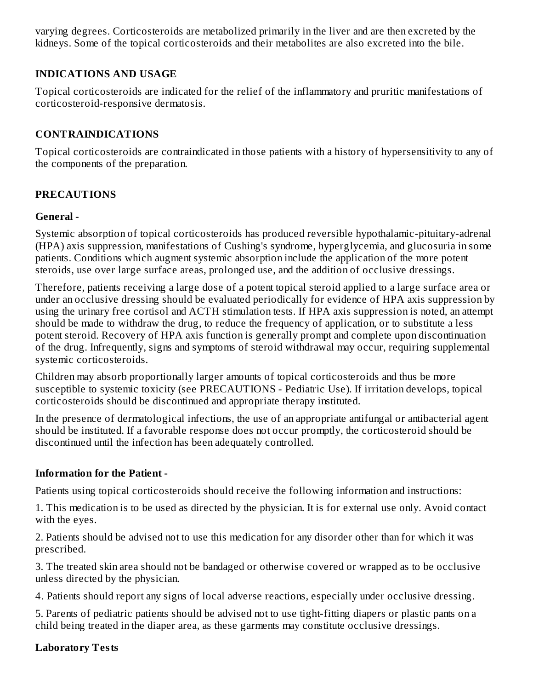varying degrees. Corticosteroids are metabolized primarily in the liver and are then excreted by the kidneys. Some of the topical corticosteroids and their metabolites are also excreted into the bile.

#### **INDICATIONS AND USAGE**

Topical corticosteroids are indicated for the relief of the inflammatory and pruritic manifestations of corticosteroid-responsive dermatosis.

## **CONTRAINDICATIONS**

Topical corticosteroids are contraindicated in those patients with a history of hypersensitivity to any of the components of the preparation.

## **PRECAUTIONS**

#### **General -**

Systemic absorption of topical corticosteroids has produced reversible hypothalamic-pituitary-adrenal (HPA) axis suppression, manifestations of Cushing's syndrome, hyperglycemia, and glucosuria in some patients. Conditions which augment systemic absorption include the application of the more potent steroids, use over large surface areas, prolonged use, and the addition of occlusive dressings.

Therefore, patients receiving a large dose of a potent topical steroid applied to a large surface area or under an occlusive dressing should be evaluated periodically for evidence of HPA axis suppression by using the urinary free cortisol and ACTH stimulation tests. If HPA axis suppression is noted, an attempt should be made to withdraw the drug, to reduce the frequency of application, or to substitute a less potent steroid. Recovery of HPA axis function is generally prompt and complete upon discontinuation of the drug. Infrequently, signs and symptoms of steroid withdrawal may occur, requiring supplemental systemic corticosteroids.

Children may absorb proportionally larger amounts of topical corticosteroids and thus be more susceptible to systemic toxicity (see PRECAUTIONS - Pediatric Use). If irritation develops, topical corticosteroids should be discontinued and appropriate therapy instituted.

In the presence of dermatological infections, the use of an appropriate antifungal or antibacterial agent should be instituted. If a favorable response does not occur promptly, the corticosteroid should be discontinued until the infection has been adequately controlled.

#### **Information for the Patient -**

Patients using topical corticosteroids should receive the following information and instructions:

1. This medication is to be used as directed by the physician. It is for external use only. Avoid contact with the eyes.

2. Patients should be advised not to use this medication for any disorder other than for which it was prescribed.

3. The treated skin area should not be bandaged or otherwise covered or wrapped as to be occlusive unless directed by the physician.

4. Patients should report any signs of local adverse reactions, especially under occlusive dressing.

5. Parents of pediatric patients should be advised not to use tight-fitting diapers or plastic pants on a child being treated in the diaper area, as these garments may constitute occlusive dressings.

#### **Laboratory Tests**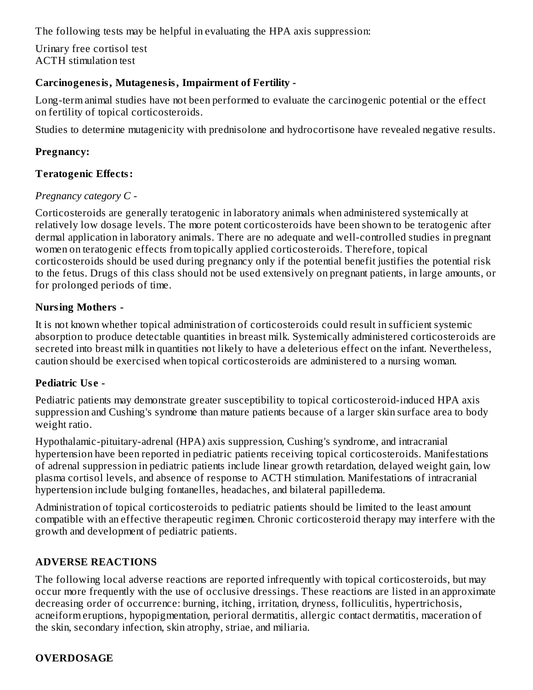The following tests may be helpful in evaluating the HPA axis suppression:

Urinary free cortisol test ACTH stimulation test

## **Carcinogenesis, Mutagenesis, Impairment of Fertility -**

Long-term animal studies have not been performed to evaluate the carcinogenic potential or the effect on fertility of topical corticosteroids.

Studies to determine mutagenicity with prednisolone and hydrocortisone have revealed negative results.

#### **Pregnancy:**

#### **Teratogenic Effects:**

#### *Pregnancy category C -*

Corticosteroids are generally teratogenic in laboratory animals when administered systemically at relatively low dosage levels. The more potent corticosteroids have been shown to be teratogenic after dermal application in laboratory animals. There are no adequate and well-controlled studies in pregnant women on teratogenic effects from topically applied corticosteroids. Therefore, topical corticosteroids should be used during pregnancy only if the potential benefit justifies the potential risk to the fetus. Drugs of this class should not be used extensively on pregnant patients, in large amounts, or for prolonged periods of time.

#### **Nursing Mothers -**

It is not known whether topical administration of corticosteroids could result in sufficient systemic absorption to produce detectable quantities in breast milk. Systemically administered corticosteroids are secreted into breast milk in quantities not likely to have a deleterious effect on the infant. Nevertheless, caution should be exercised when topical corticosteroids are administered to a nursing woman.

#### **Pediatric Us e -**

Pediatric patients may demonstrate greater susceptibility to topical corticosteroid-induced HPA axis suppression and Cushing's syndrome than mature patients because of a larger skin surface area to body weight ratio.

Hypothalamic-pituitary-adrenal (HPA) axis suppression, Cushing's syndrome, and intracranial hypertension have been reported in pediatric patients receiving topical corticosteroids. Manifestations of adrenal suppression in pediatric patients include linear growth retardation, delayed weight gain, low plasma cortisol levels, and absence of response to ACTH stimulation. Manifestations of intracranial hypertension include bulging fontanelles, headaches, and bilateral papilledema.

Administration of topical corticosteroids to pediatric patients should be limited to the least amount compatible with an effective therapeutic regimen. Chronic corticosteroid therapy may interfere with the growth and development of pediatric patients.

#### **ADVERSE REACTIONS**

The following local adverse reactions are reported infrequently with topical corticosteroids, but may occur more frequently with the use of occlusive dressings. These reactions are listed in an approximate decreasing order of occurrence: burning, itching, irritation, dryness, folliculitis, hypertrichosis, acneiform eruptions, hypopigmentation, perioral dermatitis, allergic contact dermatitis, maceration of the skin, secondary infection, skin atrophy, striae, and miliaria.

## **OVERDOSAGE**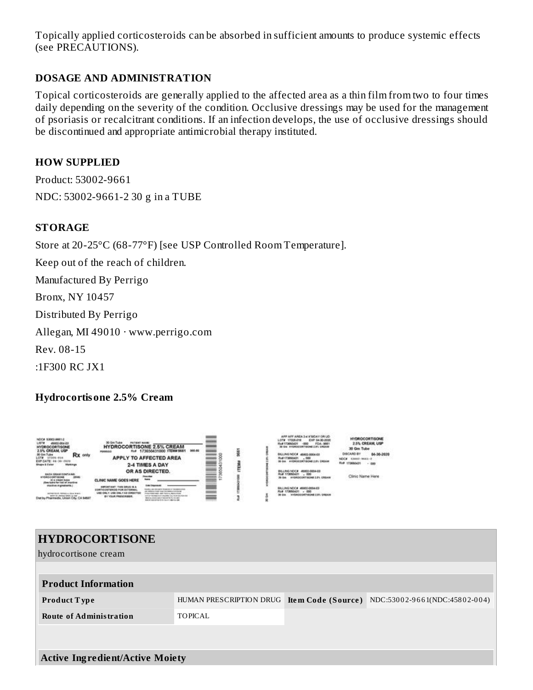Topically applied corticosteroids can be absorbed in sufficient amounts to produce systemic effects (see PRECAUTIONS).

#### **DOSAGE AND ADMINISTRATION**

Topical corticosteroids are generally applied to the affected area as a thin film from two to four times daily depending on the severity of the condition. Occlusive dressings may be used for the management of psoriasis or recalcitrant conditions. If an infection develops, the use of occlusive dressings should be discontinued and appropriate antimicrobial therapy instituted.

#### **HOW SUPPLIED**

Product: 53002-9661 NDC: 53002-9661-2 30 g in a TUBE

#### **STORAGE**

Store at 20-25°C (68-77°F) [see USP Controlled Room Temperature].

Keep out of the reach of children.

Manufactured By Perrigo

Bronx, NY 10457

Distributed By Perrigo

Allegan, MI 49010 · www.perrigo.com

Rev. 08-15

:1F300 RC JX1

#### **Hydrocortisone 2.5% Cream**



| <b>HYDROCORTISONE</b>                  |                                            |  |                               |  |  |  |
|----------------------------------------|--------------------------------------------|--|-------------------------------|--|--|--|
| hydrocortisone cream                   |                                            |  |                               |  |  |  |
|                                        |                                            |  |                               |  |  |  |
| <b>Product Information</b>             |                                            |  |                               |  |  |  |
| <b>Product Type</b>                    | HUMAN PRESCRIPTION DRUG Item Code (Source) |  | NDC:53002-9661(NDC:45802-004) |  |  |  |
| <b>Route of Administration</b>         | <b>TOPICAL</b>                             |  |                               |  |  |  |
|                                        |                                            |  |                               |  |  |  |
|                                        |                                            |  |                               |  |  |  |
| <b>Active Ingredient/Active Moiety</b> |                                            |  |                               |  |  |  |